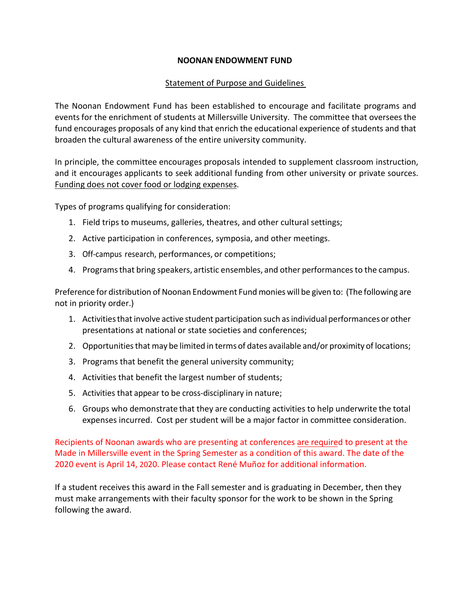## **NOONAN ENDOWMENT FUND**

## Statement of Purpose and Guidelines

The Noonan Endowment Fund has been established to encourage and facilitate programs and events for the enrichment of students at Millersville University. The committee that oversees the fund encourages proposals of any kind that enrich the educational experience of students and that broaden the cultural awareness of the entire university community.

In principle, the committee encourages proposals intended to supplement classroom instruction, and it encourages applicants to seek additional funding from other university or private sources. Funding does not cover food or lodging expenses.

Types of programs qualifying for consideration:

- 1. Field trips to museums, galleries, theatres, and other cultural settings;
- 2. Active participation in conferences, symposia, and other meetings.
- 3. Off‐campus research, performances, or competitions;
- 4. Programsthat bring speakers, artistic ensembles, and other performancesto the campus.

Preference for distribution of Noonan Endowment Fund monies will be given to: (The following are not in priority order.)

- 1. Activities that involve active student participation such as individual performances or other presentations at national or state societies and conferences;
- 2. Opportunities that may be limited in terms of dates available and/or proximity of locations;
- 3. Programs that benefit the general university community;
- 4. Activities that benefit the largest number of students;
- 5. Activities that appear to be cross-disciplinary in nature;
- 6. Groups who demonstrate that they are conducting activities to help underwrite the total expenses incurred. Cost per student will be a major factor in committee consideration.

Recipients of Noonan awards who are presenting at conferences are required to present at the Made in Millersville event in the Spring Semester as a condition of this award. The date of the 2020 event is April 14, 2020. Please contact René Muñoz for additional information.

If a student receives this award in the Fall semester and is graduating in December, then they must make arrangements with their faculty sponsor for the work to be shown in the Spring following the award.